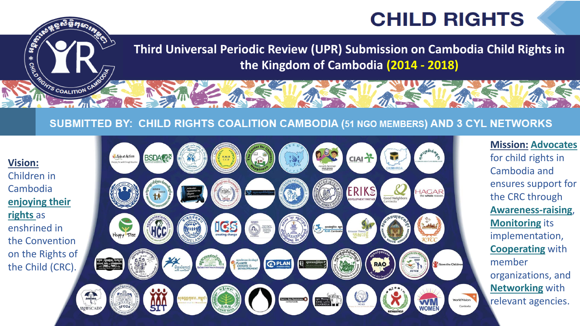## **CHILD RIGHTS**

**Third Universal Periodic Review (UPR) Submission on Cambodia Child Rights in the Kingdom of Cambodia (2014 - 2018)** 

T

Good Neighbors

 $HAGAR$ <br>the whole reason.

**World Vision** 

Cambodia

WI

#### SUBMITTED BY: CHILD RIGHTS COALITION CAMBODIA (51 NGO MEMBERS) AND 3 CYL NETWORKS



**CALL SECTION** 

ROWS COALITION CAMPS

 $\ast$ 

#### **Mission: Advocates**

for child rights in Cambodia and ensures support for the CRC through **Awareness-raising**, **Monitoring** its implementation, **Cooperating** with member organizations, and **Networking** with relevant agencies.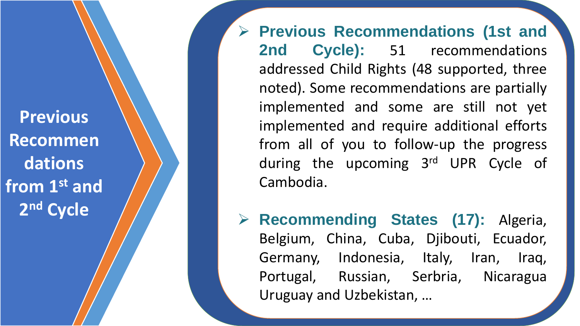**Previous Recommen dations from 1st and 2** 2<sup>nd</sup> Cycle

➢ **Previous Recommendations ( 1st and 2nd Cycle) :** 51 recommendations addressed Child Rights (48 supported, three noted) . Some recommendations are partially implemented and some are still not yet implemented and require additional efforts from all of you to follow -up the progress during the upcoming 3<sup>rd</sup> UPR Cycle of Cambodia .

➢ **Recommending States (17 ) :** Algeria , Belgium, China, Cuba, Djibouti, Ecuador, Germany, Indonesia, Italy, Iran, Iraq, Portugal, Russian, Serbria , Nicaragua Uruguay and Uzbekistan , …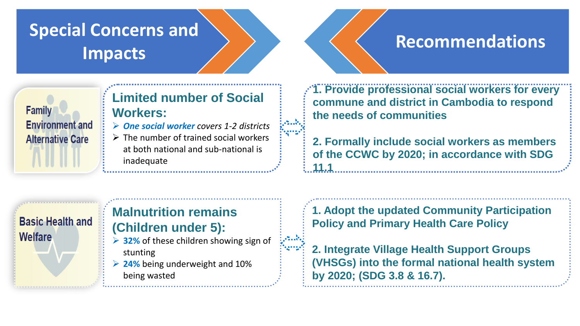### **Special Concerns and**  Impacts **Recommendations**

#### **Family Environment and Alternative Care**

#### **Limited number of Social Workers:**

- ➢ *One social worker covers 1-2 districts*
- $\triangleright$  The number of trained social workers at both national and sub-national is inadequate

**1. Provide professional social workers for every commune and district in Cambodia to respond the needs of communities**

**2. Formally include social workers as members of the CCWC by 2020; in accordance with SDG 11.1**

#### **Basic Health and Welfare**

#### **Malnutrition remains (Children under 5):**

- ➢ **32%** of these children showing sign of stunting
- ➢ **24%** being underweight and 10% being wasted

**1. Adopt the updated Community Participation Policy and Primary Health Care Policy**

**2. Integrate Village Health Support Groups (VHSGs) into the formal national health system by 2020; (SDG 3.8 & 16.7).**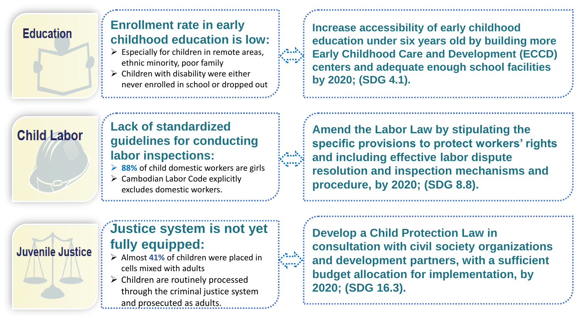#### **Education**

#### **Enrollment rate in early childhood education is low:**

- $\triangleright$  Especially for children in remote areas, ethnic minority, poor family
- $\triangleright$  Children with disability were either never enrolled in school or dropped out

**Increase accessibility of early childhood education under six years old by building more Early Childhood Care and Development (ECCD) centers and adequate enough school facilities by 2020; (SDG 4.1).**

# **Child Labor**

**Lack of standardized guidelines for conducting labor inspections:**

- ➢ **88%** of child domestic workers are girls
- $\triangleright$  Cambodian Labor Code explicitly excludes domestic workers.

**Amend the Labor Law by stipulating the specific provisions to protect workers' rights and including effective labor dispute resolution and inspection mechanisms and procedure, by 2020; (SDG 8.8).**



#### **Justice system is not yet fully equipped:**

- ➢ Almost **41%** of children were placed in cells mixed with adults
- $\triangleright$  Children are routinely processed through the criminal justice system and prosecuted as adults.

**Develop a Child Protection Law in consultation with civil society organizations and development partners, with a sufficient budget allocation for implementation, by 2020; (SDG 16.3).**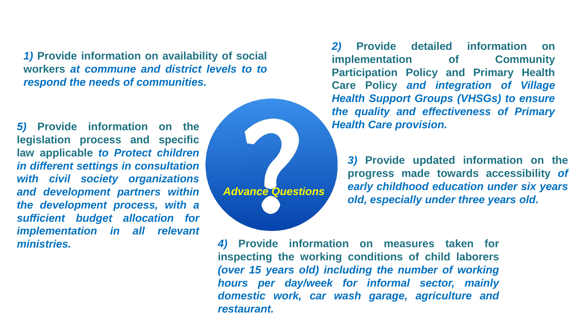*1)* **Provide information on availability of social workers** *at commune and district levels to to respond the needs of communities.*

*5)* **Provide information on the legislation process and specific law applicable** *to Protect children in different settings in consultation with civil society organizations and development partners within the development process, with a sufficient budget allocation for implementation in all relevant ministries.*



*2)* **Provide detailed information on implementation of Community Participation Policy and Primary Health Care Policy** *and integration of Village Health Support Groups (VHSGs) to ensure the quality and effectiveness of Primary Health Care provision.*

*3)* **Provide updated information on the progress made towards accessibility** *of early childhood education under six years old, especially under three years old.*

*4)* **Provide information on measures taken for inspecting the working conditions of child laborers** *(over 15 years old) including the number of working hours per day/week for informal sector, mainly domestic work, car wash garage, agriculture and restaurant.*